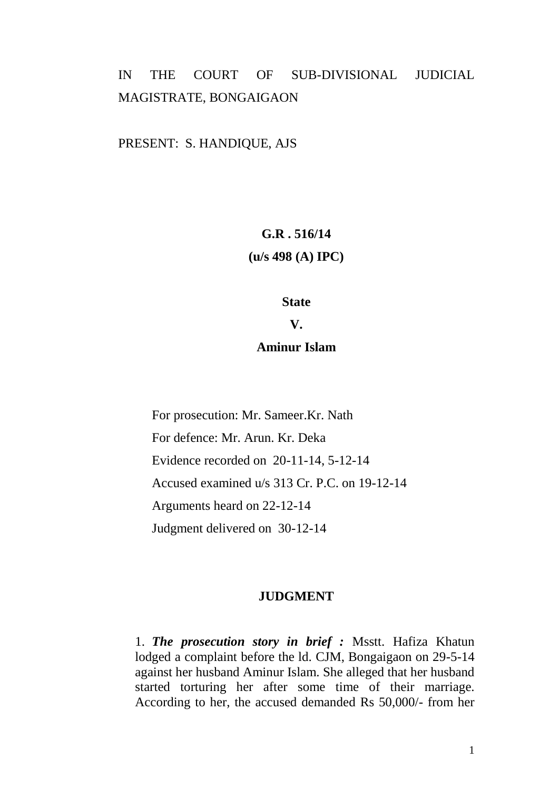# IN THE COURT OF SUB-DIVISIONAL JUDICIAL MAGISTRATE, BONGAIGAON

PRESENT: S. HANDIQUE, AJS

# **G.R . 516/14 (u/s 498 (A) IPC)**

### **State**

**V.**

## **Aminur Islam**

For prosecution: Mr. Sameer.Kr. Nath For defence: Mr. Arun. Kr. Deka Evidence recorded on 20-11-14, 5-12-14 Accused examined u/s 313 Cr. P.C. on 19-12-14 Arguments heard on 22-12-14 Judgment delivered on 30-12-14

### **JUDGMENT**

1. *The prosecution story in brief :* Msstt. Hafiza Khatun lodged a complaint before the ld. CJM, Bongaigaon on 29-5-14 against her husband Aminur Islam. She alleged that her husband started torturing her after some time of their marriage. According to her, the accused demanded Rs 50,000/- from her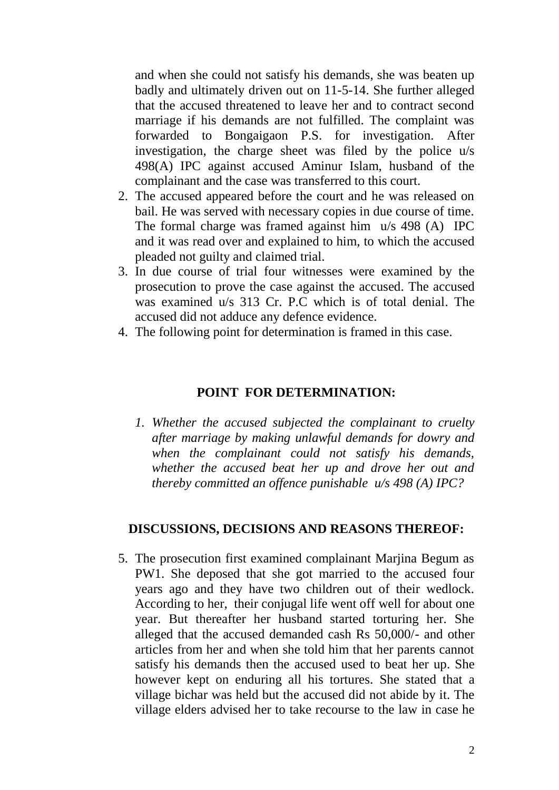and when she could not satisfy his demands, she was beaten up badly and ultimately driven out on 11-5-14. She further alleged that the accused threatened to leave her and to contract second marriage if his demands are not fulfilled. The complaint was forwarded to Bongaigaon P.S. for investigation. After investigation, the charge sheet was filed by the police u/s 498(A) IPC against accused Aminur Islam, husband of the complainant and the case was transferred to this court.

- 2. The accused appeared before the court and he was released on bail. He was served with necessary copies in due course of time. The formal charge was framed against him u/s 498 (A) IPC and it was read over and explained to him, to which the accused pleaded not guilty and claimed trial.
- 3. In due course of trial four witnesses were examined by the prosecution to prove the case against the accused. The accused was examined u/s 313 Cr. P.C which is of total denial. The accused did not adduce any defence evidence.
- 4. The following point for determination is framed in this case.

## **POINT FOR DETERMINATION:**

*1. Whether the accused subjected the complainant to cruelty after marriage by making unlawful demands for dowry and when the complainant could not satisfy his demands, whether the accused beat her up and drove her out and thereby committed an offence punishable u/s 498 (A) IPC?*

### **DISCUSSIONS, DECISIONS AND REASONS THEREOF:**

5. The prosecution first examined complainant Marjina Begum as PW1. She deposed that she got married to the accused four years ago and they have two children out of their wedlock. According to her, their conjugal life went off well for about one year. But thereafter her husband started torturing her. She alleged that the accused demanded cash Rs 50,000/- and other articles from her and when she told him that her parents cannot satisfy his demands then the accused used to beat her up. She however kept on enduring all his tortures. She stated that a village bichar was held but the accused did not abide by it. The village elders advised her to take recourse to the law in case he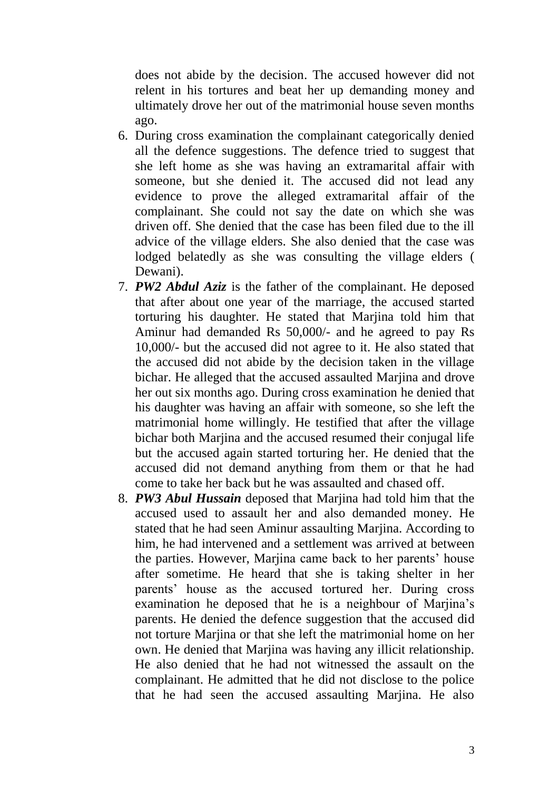does not abide by the decision. The accused however did not relent in his tortures and beat her up demanding money and ultimately drove her out of the matrimonial house seven months ago.

- 6. During cross examination the complainant categorically denied all the defence suggestions. The defence tried to suggest that she left home as she was having an extramarital affair with someone, but she denied it. The accused did not lead any evidence to prove the alleged extramarital affair of the complainant. She could not say the date on which she was driven off. She denied that the case has been filed due to the ill advice of the village elders. She also denied that the case was lodged belatedly as she was consulting the village elders ( Dewani).
- 7. *PW2 Abdul Aziz* is the father of the complainant. He deposed that after about one year of the marriage, the accused started torturing his daughter. He stated that Marjina told him that Aminur had demanded Rs 50,000/- and he agreed to pay Rs 10,000/- but the accused did not agree to it. He also stated that the accused did not abide by the decision taken in the village bichar. He alleged that the accused assaulted Marjina and drove her out six months ago. During cross examination he denied that his daughter was having an affair with someone, so she left the matrimonial home willingly. He testified that after the village bichar both Mariina and the accused resumed their conjugal life but the accused again started torturing her. He denied that the accused did not demand anything from them or that he had come to take her back but he was assaulted and chased off.
- 8. *PW3 Abul Hussain* deposed that Marjina had told him that the accused used to assault her and also demanded money. He stated that he had seen Aminur assaulting Mariina. According to him, he had intervened and a settlement was arrived at between the parties. However, Marjina came back to her parents' house after sometime. He heard that she is taking shelter in her parents' house as the accused tortured her. During cross examination he deposed that he is a neighbour of Marjina's parents. He denied the defence suggestion that the accused did not torture Marjina or that she left the matrimonial home on her own. He denied that Marjina was having any illicit relationship. He also denied that he had not witnessed the assault on the complainant. He admitted that he did not disclose to the police that he had seen the accused assaulting Marjina. He also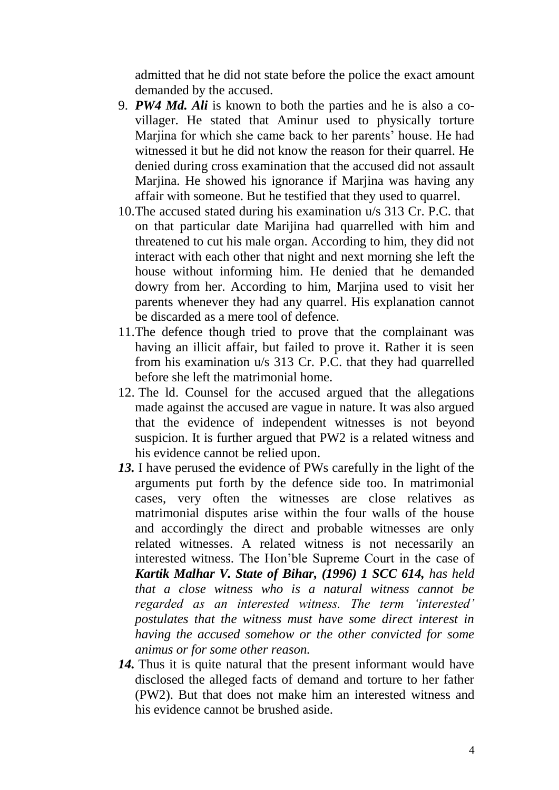admitted that he did not state before the police the exact amount demanded by the accused.

- 9. *PW4 Md. Ali* is known to both the parties and he is also a covillager. He stated that Aminur used to physically torture Marjina for which she came back to her parents' house. He had witnessed it but he did not know the reason for their quarrel. He denied during cross examination that the accused did not assault Marjina. He showed his ignorance if Marjina was having any affair with someone. But he testified that they used to quarrel.
- 10.The accused stated during his examination u/s 313 Cr. P.C. that on that particular date Marijina had quarrelled with him and threatened to cut his male organ. According to him, they did not interact with each other that night and next morning she left the house without informing him. He denied that he demanded dowry from her. According to him, Marjina used to visit her parents whenever they had any quarrel. His explanation cannot be discarded as a mere tool of defence.
- 11.The defence though tried to prove that the complainant was having an illicit affair, but failed to prove it. Rather it is seen from his examination u/s 313 Cr. P.C. that they had quarrelled before she left the matrimonial home.
- 12. The ld. Counsel for the accused argued that the allegations made against the accused are vague in nature. It was also argued that the evidence of independent witnesses is not beyond suspicion. It is further argued that PW2 is a related witness and his evidence cannot be relied upon.
- *13.* I have perused the evidence of PWs carefully in the light of the arguments put forth by the defence side too. In matrimonial cases, very often the witnesses are close relatives as matrimonial disputes arise within the four walls of the house and accordingly the direct and probable witnesses are only related witnesses. A related witness is not necessarily an interested witness. The Hon'ble Supreme Court in the case of *Kartik Malhar V. State of Bihar, (1996) 1 SCC 614, has held that a close witness who is a natural witness cannot be regarded as an interested witness. The term "interested" postulates that the witness must have some direct interest in having the accused somehow or the other convicted for some animus or for some other reason.*
- 14. Thus it is quite natural that the present informant would have disclosed the alleged facts of demand and torture to her father (PW2). But that does not make him an interested witness and his evidence cannot be brushed aside.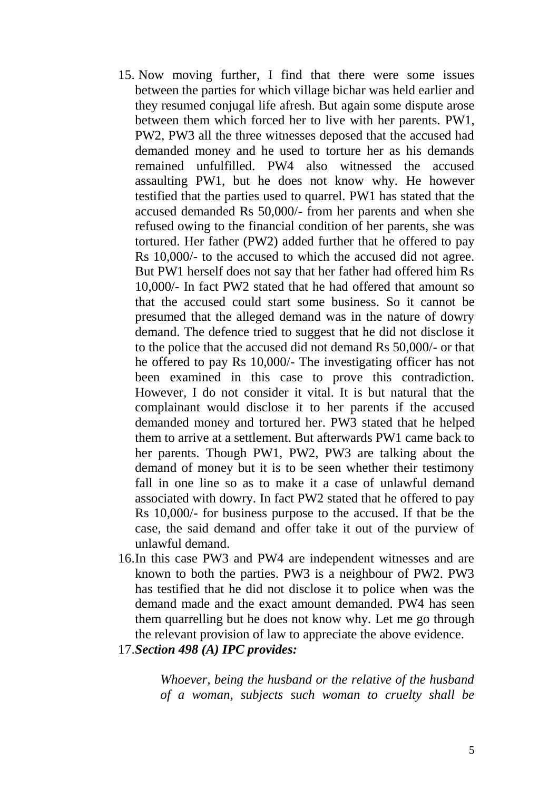- 15. Now moving further, I find that there were some issues between the parties for which village bichar was held earlier and they resumed conjugal life afresh. But again some dispute arose between them which forced her to live with her parents. PW1, PW2, PW3 all the three witnesses deposed that the accused had demanded money and he used to torture her as his demands remained unfulfilled. PW4 also witnessed the accused assaulting PW1, but he does not know why. He however testified that the parties used to quarrel. PW1 has stated that the accused demanded Rs 50,000/- from her parents and when she refused owing to the financial condition of her parents, she was tortured. Her father (PW2) added further that he offered to pay Rs 10,000/- to the accused to which the accused did not agree. But PW1 herself does not say that her father had offered him Rs 10,000/- In fact PW2 stated that he had offered that amount so that the accused could start some business. So it cannot be presumed that the alleged demand was in the nature of dowry demand. The defence tried to suggest that he did not disclose it to the police that the accused did not demand Rs 50,000/- or that he offered to pay Rs 10,000/- The investigating officer has not been examined in this case to prove this contradiction. However, I do not consider it vital. It is but natural that the complainant would disclose it to her parents if the accused demanded money and tortured her. PW3 stated that he helped them to arrive at a settlement. But afterwards PW1 came back to her parents. Though PW1, PW2, PW3 are talking about the demand of money but it is to be seen whether their testimony fall in one line so as to make it a case of unlawful demand associated with dowry. In fact PW2 stated that he offered to pay Rs 10,000/- for business purpose to the accused. If that be the case, the said demand and offer take it out of the purview of unlawful demand.
- 16.In this case PW3 and PW4 are independent witnesses and are known to both the parties. PW3 is a neighbour of PW2. PW3 has testified that he did not disclose it to police when was the demand made and the exact amount demanded. PW4 has seen them quarrelling but he does not know why. Let me go through the relevant provision of law to appreciate the above evidence.
- 17.*Section 498 (A) IPC provides:*

*Whoever, being the husband or the relative of the husband of a woman, subjects such woman to cruelty shall be*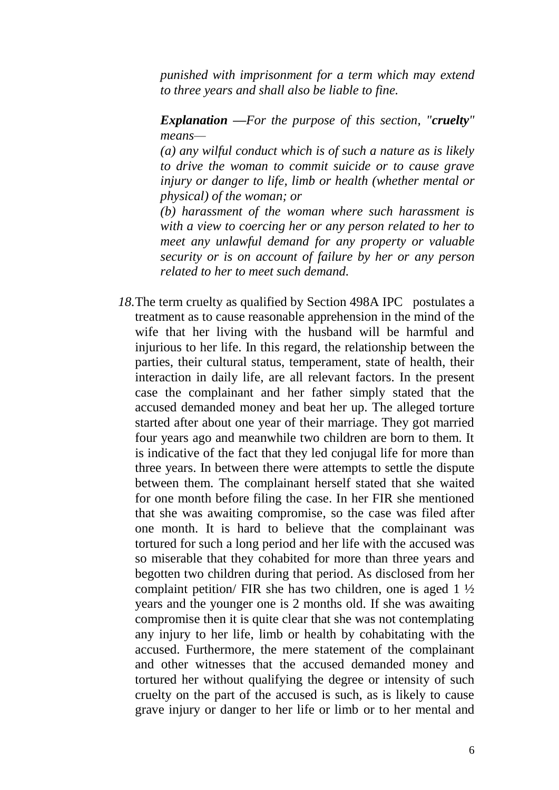*punished with imprisonment for a term which may extend to three years and shall also be liable to fine.*

*Explanation —For the purpose of this section, "cruelty" means—*

*(a) any wilful conduct which is of such a nature as is likely to drive the woman to commit suicide or to cause grave injury or danger to life, limb or health (whether mental or physical) of the woman; or*

*(b) harassment of the woman where such harassment is with a view to coercing her or any person related to her to meet any unlawful demand for any property or valuable security or is on account of failure by her or any person related to her to meet such demand.*

18. The term cruelty as qualified by Section 498A IPC postulates a treatment as to cause reasonable apprehension in the mind of the wife that her living with the husband will be harmful and injurious to her life. In this regard, the relationship between the parties, their cultural status, temperament, state of health, their interaction in daily life, are all relevant factors. In the present case the complainant and her father simply stated that the accused demanded money and beat her up. The alleged torture started after about one year of their marriage. They got married four years ago and meanwhile two children are born to them. It is indicative of the fact that they led conjugal life for more than three years. In between there were attempts to settle the dispute between them. The complainant herself stated that she waited for one month before filing the case. In her FIR she mentioned that she was awaiting compromise, so the case was filed after one month. It is hard to believe that the complainant was tortured for such a long period and her life with the accused was so miserable that they cohabited for more than three years and begotten two children during that period. As disclosed from her complaint petition/ FIR she has two children, one is aged 1 ½ years and the younger one is 2 months old. If she was awaiting compromise then it is quite clear that she was not contemplating any injury to her life, limb or health by cohabitating with the accused. Furthermore, the mere statement of the complainant and other witnesses that the accused demanded money and tortured her without qualifying the degree or intensity of such cruelty on the part of the accused is such, as is likely to cause grave injury or danger to her life or limb or to her mental and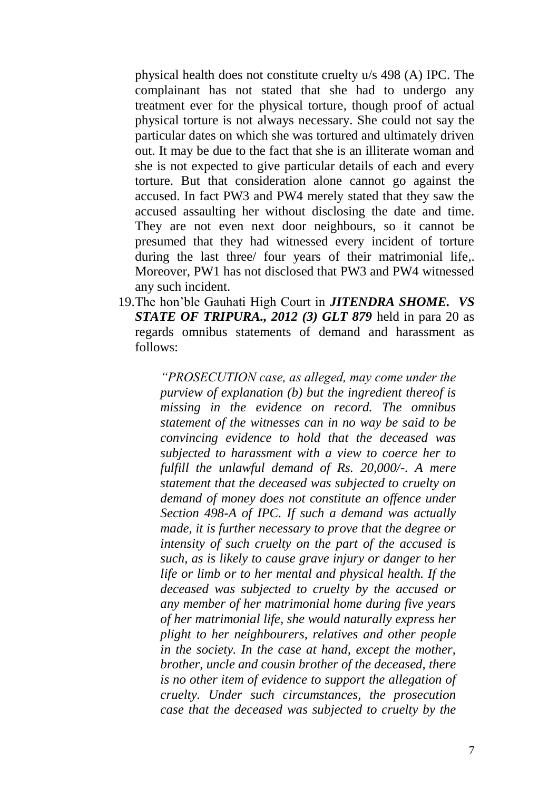physical health does not constitute cruelty u/s 498 (A) IPC. The complainant has not stated that she had to undergo any treatment ever for the physical torture, though proof of actual physical torture is not always necessary. She could not say the particular dates on which she was tortured and ultimately driven out. It may be due to the fact that she is an illiterate woman and she is not expected to give particular details of each and every torture. But that consideration alone cannot go against the accused. In fact PW3 and PW4 merely stated that they saw the accused assaulting her without disclosing the date and time. They are not even next door neighbours, so it cannot be presumed that they had witnessed every incident of torture during the last three/ four years of their matrimonial life,. Moreover, PW1 has not disclosed that PW3 and PW4 witnessed any such incident.

19.The hon'ble Gauhati High Court in *JITENDRA SHOME. VS STATE OF TRIPURA., 2012 (3) GLT 879* held in para 20 as regards omnibus statements of demand and harassment as follows:

> *"PROSECUTION case, as alleged, may come under the purview of explanation (b) but the ingredient thereof is missing in the evidence on record. The omnibus statement of the witnesses can in no way be said to be convincing evidence to hold that the deceased was subjected to harassment with a view to coerce her to fulfill the unlawful demand of Rs. 20,000/-. A mere statement that the deceased was subjected to cruelty on demand of money does not constitute an offence under Section 498-A of IPC. If such a demand was actually made, it is further necessary to prove that the degree or intensity of such cruelty on the part of the accused is such, as is likely to cause grave injury or danger to her life or limb or to her mental and physical health. If the deceased was subjected to cruelty by the accused or any member of her matrimonial home during five years of her matrimonial life, she would naturally express her plight to her neighbourers, relatives and other people in the society. In the case at hand, except the mother, brother, uncle and cousin brother of the deceased, there is no other item of evidence to support the allegation of cruelty. Under such circumstances, the prosecution case that the deceased was subjected to cruelty by the*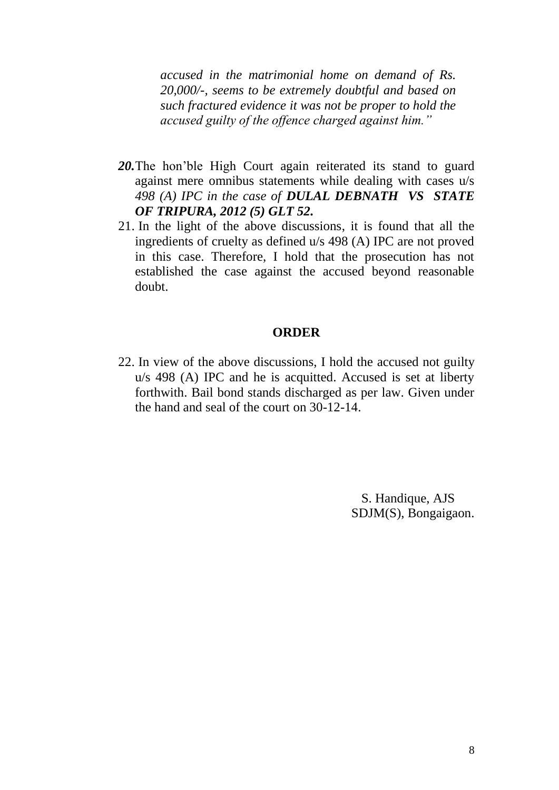*accused in the matrimonial home on demand of Rs. 20,000/-, seems to be extremely doubtful and based on such fractured evidence it was not be proper to hold the accused guilty of the offence charged against him."*

- 20. The hon'ble High Court again reiterated its stand to guard against mere omnibus statements while dealing with cases u/s *498 (A) IPC in the case of DULAL DEBNATH VS STATE OF TRIPURA, 2012 (5) GLT 52.*
- 21. In the light of the above discussions, it is found that all the ingredients of cruelty as defined u/s 498 (A) IPC are not proved in this case. Therefore, I hold that the prosecution has not established the case against the accused beyond reasonable doubt.

### **ORDER**

22. In view of the above discussions, I hold the accused not guilty u/s 498 (A) IPC and he is acquitted. Accused is set at liberty forthwith. Bail bond stands discharged as per law. Given under the hand and seal of the court on 30-12-14.

> S. Handique, AJS SDJM(S), Bongaigaon.